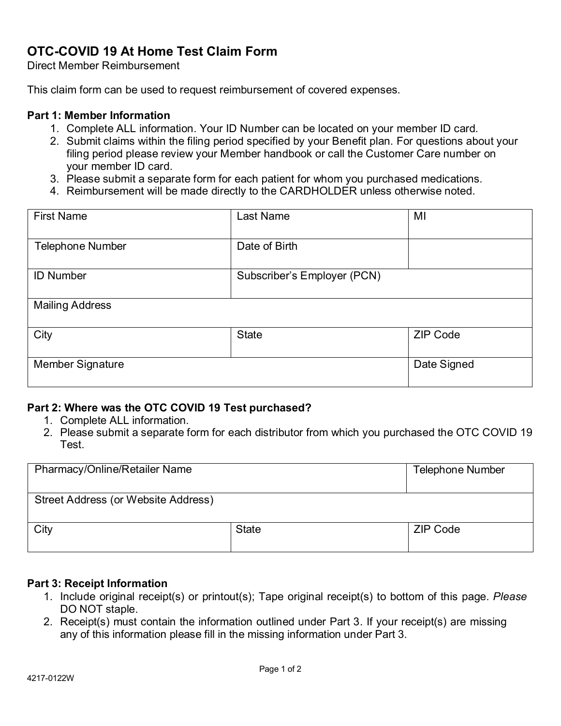# **OTC-COVID 19 At Home Test Claim Form**

Direct Member Reimbursement

This claim form can be used to request reimbursement of covered expenses.

### **Part 1: Member Information**

- 1. Complete ALL information. Your ID Number can be located on your member ID card.
- filing period please review your Member handbook or call the Customer Care number on 2. Submit claims within the filing period specified by your Benefit plan. For questions about your your member ID card.
- 3. Please submit a separate form for each patient for whom you purchased medications.
- 4. Reimbursement will be made directly to the CARDHOLDER unless otherwise noted.

| <b>First Name</b>       | Last Name                   | MI              |  |
|-------------------------|-----------------------------|-----------------|--|
| <b>Telephone Number</b> | Date of Birth               |                 |  |
| <b>ID Number</b>        | Subscriber's Employer (PCN) |                 |  |
| <b>Mailing Address</b>  |                             |                 |  |
| City                    | <b>State</b>                | <b>ZIP Code</b> |  |
| <b>Member Signature</b> |                             | Date Signed     |  |

### **Part 2: Where was the OTC COVID 19 Test purchased?**

- 1. Complete ALL information.
- 2. Please submit a separate form for each distributor from which you purchased the OTC COVID 19 Test.

| <b>Pharmacy/Online/Retailer Name</b> |              | <b>Telephone Number</b> |  |
|--------------------------------------|--------------|-------------------------|--|
| Street Address (or Website Address)  |              |                         |  |
| City                                 | <b>State</b> | ZIP Code                |  |

#### **Part 3: Receipt Information**

- 1. Include original receipt(s) or printout(s); Tape original receipt(s) to bottom of this page. *Please* DO NOT staple.
- 2. Receipt(s) must contain the information outlined under Part 3. If your receipt(s) are missing any of this information please fill in the missing information under Part 3.